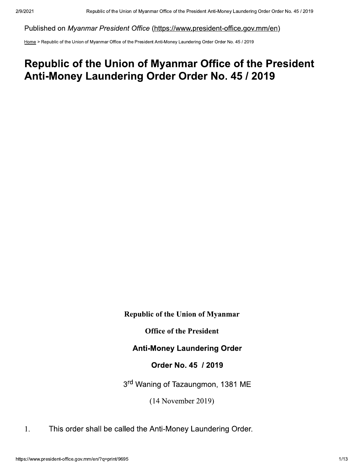Published on Myanmar President Office (https://www.president-office.gov.mm/en)

Home > Republic of the Union of Myanmar Office of the President Anti-Money Laundering Order Order No. 45 / 2019

## Republic of the Union of Myanmar Office of the President Anti-Money Laundering Order Order No. 45 / 2019

**Republic of the Union of Myanmar** 

**Office of the President** 

**Anti-Money Laundering Order** 

Order No. 45 / 2019

3rd Waning of Tazaungmon, 1381 ME

 $(14$  November 2019)

1. This order shall be called the Anti-Money Laundering Order.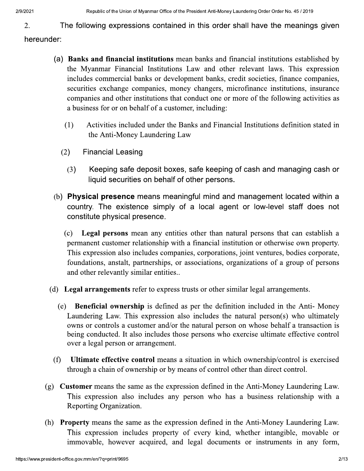The following expressions contained in this order shall have the meanings given 2.

hereunder:

- (a) Banks and financial institutions mean banks and financial institutions established by the Myanmar Financial Institutions Law and other relevant laws. This expression includes commercial banks or development banks, credit societies, finance companies, securities exchange companies, money changers, microfinance institutions, insurance companies and other institutions that conduct one or more of the following activities as a business for or on behalf of a customer, including:
	- Activities included under the Banks and Financial Institutions definition stated in  $(1)$ the Anti-Money Laundering Law
	- $(2)$ **Financial Leasing** 
		- $(3)$ Keeping safe deposit boxes, safe keeping of cash and managing cash or liquid securities on behalf of other persons.
- (b) Physical presence means meaningful mind and management located within a country. The existence simply of a local agent or low-level staff does not constitute physical presence.
	- Legal persons mean any entities other than natural persons that can establish a  $(c)$ permanent customer relationship with a financial institution or otherwise own property. This expression also includes companies, corporations, joint ventures, bodies corporate, foundations, anstalt, partnerships, or associations, organizations of a group of persons and other relevantly similar entities..
- (d) Legal arrangements refer to express trusts or other similar legal arrangements.
	- (e) **Beneficial ownership** is defined as per the definition included in the Anti-Money Laundering Law. This expression also includes the natural person(s) who ultimately owns or controls a customer and/or the natural person on whose behalf a transaction is being conducted. It also includes those persons who exercise ultimate effective control over a legal person or arrangement.
	- $(f)$ Ultimate effective control means a situation in which ownership/control is exercised through a chain of ownership or by means of control other than direct control.
- (g) **Customer** means the same as the expression defined in the Anti-Money Laundering Law. This expression also includes any person who has a business relationship with a Reporting Organization.
- (h) **Property** means the same as the expression defined in the Anti-Money Laundering Law. This expression includes property of every kind, whether intangible, movable or immovable, however acquired, and legal documents or instruments in any form,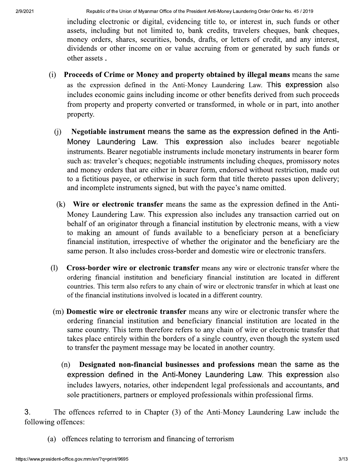including electronic or digital, evidencing title to, or interest in, such funds or other assets, including but not limited to, bank credits, travelers cheques, bank cheques, money orders, shares, securities, bonds, drafts, or letters of credit, and any interest, dividends or other income on or value accruing from or generated by such funds or other assets.

- Proceeds of Crime or Money and property obtained by illegal means means the same  $(i)$ as the expression defined in the Anti-Money Laundering Law. This expression also includes economic gains including income or other benefits derived from such proceeds from property and property converted or transformed, in whole or in part, into another property.
	- Negotiable instrument means the same as the expression defined in the Anti- $(i)$ Money Laundering Law. This expression also includes bearer negotiable instruments. Bearer negotiable instruments include monetary instruments in bearer form such as: traveler's cheques; negotiable instruments including cheques, promissory notes and money orders that are either in bearer form, endorsed without restriction, made out to a fictitious payee, or otherwise in such form that title thereto passes upon delivery; and incomplete instruments signed, but with the payee's name omitted.
	- (k) Wire or electronic transfer means the same as the expression defined in the Anti-Money Laundering Law. This expression also includes any transaction carried out on behalf of an originator through a financial institution by electronic means, with a view to making an amount of funds available to a beneficiary person at a beneficiary financial institution, irrespective of whether the originator and the beneficiary are the same person. It also includes cross-border and domestic wire or electronic transfers.
- (1) Cross-border wire or electronic transfer means any wire or electronic transfer where the ordering financial institution and beneficiary financial institution are located in different countries. This term also refers to any chain of wire or electronic transfer in which at least one of the financial institutions involved is located in a different country.
- (m) **Domestic wire or electronic transfer** means any wire or electronic transfer where the ordering financial institution and beneficiary financial institution are located in the same country. This term therefore refers to any chain of wire or electronic transfer that takes place entirely within the borders of a single country, even though the system used to transfer the payment message may be located in another country.
	- $(n)$ Designated non-financial businesses and professions mean the same as the expression defined in the Anti-Money Laundering Law. This expression also includes lawyers, notaries, other independent legal professionals and accountants, and sole practitioners, partners or employed professionals within professional firms.

3. The offences referred to in Chapter (3) of the Anti-Money Laundering Law include the following offences:

(a) offences relating to terrorism and financing of terrorism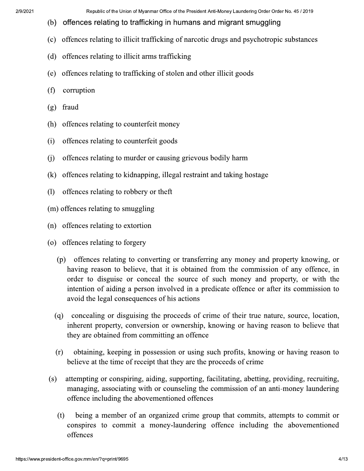- (b) offences relating to trafficking in humans and migrant smuggling
- (c) offences relating to illicit trafficking of narcotic drugs and psychotropic substances
- (d) offences relating to illicit arms trafficking
- (e) offences relating to trafficking of stolen and other illicit goods
- $(f)$  corruption
- $(g)$  fraud
- (h) offences relating to counterfeit money
- (i) offences relating to counterfeit goods
- (i) offences relating to murder or causing grievous bodily harm
- (k) offences relating to kidnapping, illegal restraint and taking hostage
- (1) offences relating to robbery or theft
- (m) offences relating to smuggling
- (n) offences relating to extortion
- (o) offences relating to forgery
	- (p) offences relating to converting or transferring any money and property knowing, or having reason to believe, that it is obtained from the commission of any offence, in order to disguise or conceal the source of such money and property, or with the intention of aiding a person involved in a predicate offence or after its commission to avoid the legal consequences of his actions
	- (q) concealing or disguising the proceeds of crime of their true nature, source, location, inherent property, conversion or ownership, knowing or having reason to believe that they are obtained from committing an offence
	- (r) obtaining, keeping in possession or using such profits, knowing or having reason to believe at the time of receipt that they are the proceeds of crime
- (s) attempting or conspiring, aiding, supporting, facilitating, abetting, providing, recruiting, managing, associating with or counseling the commission of an anti-money laundering offence including the abovementioned offences
- (t) being:<br>
conspires<br>
offences<br>
https://www.president-office.gov.mm/er  $(t)$  being a member of an organized crime group that commits, attempts to commit or conspires to commit a money-laundering offence including the abovementioned offences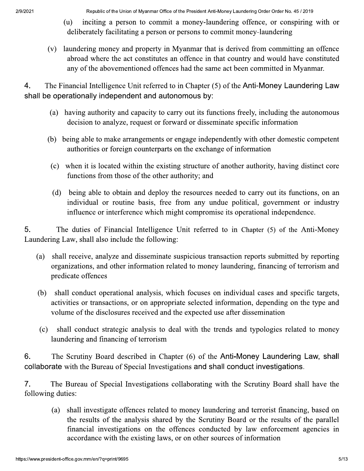- inciting a person to commit a money-laundering offence, or conspiring with or (u) deliberately facilitating a person or persons to commit money-laundering
- (v) laundering money and property in Myanmar that is derived from committing an offence abroad where the act constitutes an offence in that country and would have constituted any of the abovementioned offences had the same act been committed in Myanmar.

4. The Financial Intelligence Unit referred to in Chapter (5) of the Anti-Money Laundering Law shall be operationally independent and autonomous by:

- (a) having authority and capacity to carry out its functions freely, including the autonomous decision to analyze, request or forward or disseminate specific information
- (b) being able to make arrangements or engage independently with other domestic competent authorities or foreign counterparts on the exchange of information
- (c) when it is located within the existing structure of another authority, having distinct core functions from those of the other authority; and
- (d) being able to obtain and deploy the resources needed to carry out its functions, on an individual or routine basis, free from any undue political, government or industry influence or interference which might compromise its operational independence.

5. The duties of Financial Intelligence Unit referred to in Chapter (5) of the Anti-Money Laundering Law, shall also include the following:

- shall receive, analyze and disseminate suspicious transaction reports submitted by reporting (a) organizations, and other information related to money laundering, financing of terrorism and predicate offences
- (b) shall conduct operational analysis, which focuses on individual cases and specific targets, activities or transactions, or on appropriate selected information, depending on the type and volume of the disclosures received and the expected use after dissemination
- (c) shall conduct strategic analysis to deal with the trends and typologies related to money laundering and financing of terrorism

6. The Scrutiny Board described in Chapter (6) of the Anti-Money Laundering Law, shall collaborate with the Bureau of Special Investigations and shall conduct investigations.

 $7<sub>1</sub>$ The Bureau of Special Investigations collaborating with the Scrutiny Board shall have the following duties:

shall investigate offences related to money laundering and terrorist financing, based on (a) the results of the analysis shared by the Scrutiny Board or the results of the parallel financial investigations on the offences conducted by law enforcement agencies in accordance with the existing laws, or on other sources of information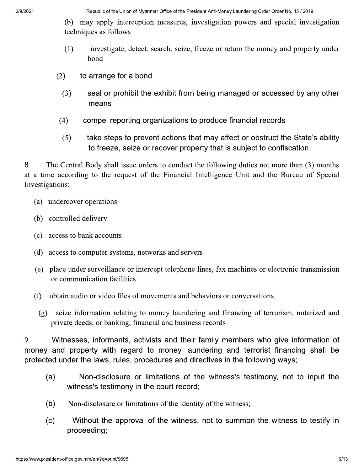(b) may apply interception measures, investigation powers and special investigation techniques as follows

- $(1)$ investigate, detect, search, seize, freeze or return the money and property under bond
- $(2)$ to arrange for a bond
	- $(3)$ seal or prohibit the exhibit from being managed or accessed by any other means
- $(4)$ compel reporting organizations to produce financial records
- $(5)$ take steps to prevent actions that may affect or obstruct the State's ability to freeze, seize or recover property that is subject to confiscation

8. The Central Body shall issue orders to conduct the following duties not more than (3) months at a time according to the request of the Financial Intelligence Unit and the Bureau of Special Investigations:

- (a) undercover operations
- (b) controlled delivery
- (c) access to bank accounts
- (d) access to computer systems, networks and servers
- (e) place under surveillance or intercept telephone lines, fax machines or electronic transmission or communication facilities
- obtain audio or video files of movements and behaviors or conversations (f)
	- (g) seize information relating to money laundering and financing of terrorism, notarized and private deeds, or banking, financial and business records

9. Witnesses, informants, activists and their family members who give information of money and property with regard to money laundering and terrorist financing shall be protected under the laws, rules, procedures and directives in the following ways;

- Non-disclosure or limitations of the witness's testimony, not to input the  $(a)$ witness's testimony in the court record;
- $(b)$ Non-disclosure or limitations of the identity of the witness;
- Without the approval of the witness, not to summon the witness to testify in  $(c)$ proceeding;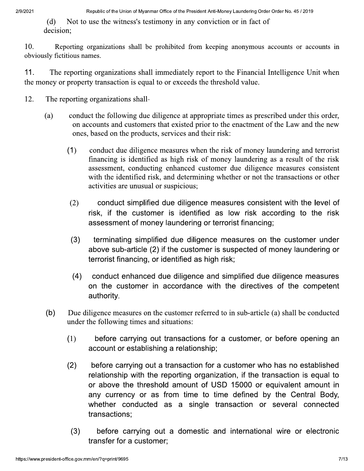(d) Not to use the witness's testimony in any conviction or in fact of decision:

10. Reporting organizations shall be prohibited from keeping anonymous accounts or accounts in obviously fictitious names.

11. The reporting organizations shall immediately report to the Financial Intelligence Unit when the money or property transaction is equal to or exceeds the threshold value.

- 12. The reporting organizations shall-
	- (a) conduct the following due diligence at appropriate times as prescribed under this order, on accounts and customers that existed prior to the enactment of the Law and the new ones, based on the products, services and their risk:
		- $(1)$  conduct due diligence measures when the risk of money laundering and terrorist financing is identified as high risk of money laundering as a result of the risk assessment, conducting enhanced customer due diligence measures consistent with the identified risk, and determining whether or not the transactions or other activities are unusual or suspicious; ones, based on the products, services and their risk:<br>
		1) conduct due diligence measures when the risk of money laundering and terrorist<br>
		financing is identified as high risk of money laundering as a result of the risk<br>
		as conduct due diligence measures when the risk of money laundering and terrorist financing is identified as high risk of money laundering as a result of the risk assessment, conducting enhanced customer due diligence measure
		- assessment of money laundering or terrorist financing;
		- (3) terminating simplified due diligence measures on the customer under above sub-article  $(2)$  if the customer is suspected of money laundering or  $\overline{\phantom{a}}$ terrorist financing, or identified as high risk;
		- (4) conduct enhanced due diligence and simplified due diligence measures<br>on the customer in accordance with the directives of the competent risk, if the customer is identified as low risk according to the risk<br>assessment of money laundering or terrorist financing;<br>terminating simplified due diligence measures on the customer under<br>above sub-article (2) if the authority.
	- $(b)$ Due diligence measures on the customer referred to in sub-article (a) shall be conducted under the following times and situations:
		- $(1)$ efore carrying out transactions for a customer, or before opening an account or establishing a relationship;
- (2) before carrying out a transaction for a customer who has no established<br>relationship with the reporting organization, if the transaction is equal to thority.<br>
sence measures on the customer referred to in sub-article (a) shall be conducte<br>
following times and situations:<br>
before carrying out transactions for a customer, or before opening a<br>
ccount or establishing a rel before carrying out a transaction for a customer who has no established Due diligence measures on the customer referred to in sub-article (a) shall be conducted<br>
under the following times and situations:<br>
(1) before carrying out transactions for a customer, or before opening an<br>
account or est or above the threshold amount of USD 15000 or equivalent amount in any currency or as from time to time defined by the Central Body, (1) before carrying out transactions for a customer, or before opening an account or establishing a relationship;<br>
(2) before carrying out a transaction for a customer who has no established<br>
relationship with the reportin transactions; fore carrying out a transaction for a customer who has no established<br>tionship with the reporting organization, if the transaction is equal to<br>above the threshold amount of USD 15000 or equivalent amount in<br>currency or as
	- (3) before carrying out a domestic and international wire or electronic transfer for a customer;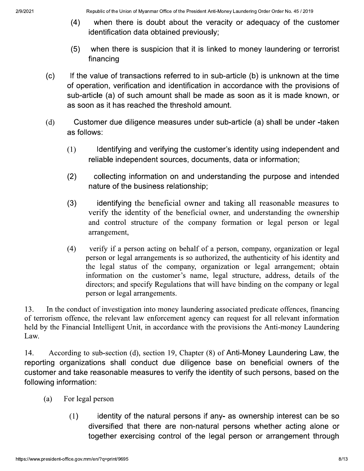- $(4)$ when there is doubt about the veracity or adequacy of the customer identification data obtained previously;
- $(5)$ when there is suspicion that it is linked to money laundering or terrorist financing
- $(c)$ If the value of transactions referred to in sub-article (b) is unknown at the time of operation, verification and identification in accordance with the provisions of sub-article (a) of such amount shall be made as soon as it is made known, or as soon as it has reached the threshold amount.
- $(d)$ Customer due diligence measures under sub-article (a) shall be under -taken as follows:
	- $(1)$ Identifying and verifying the customer's identity using independent and reliable independent sources, documents, data or information;
	- $(2)$ collecting information on and understanding the purpose and intended nature of the business relationship;
	- $(3)$ identifying the beneficial owner and taking all reasonable measures to verify the identity of the beneficial owner, and understanding the ownership and control structure of the company formation or legal person or legal arrangement,
	- $(4)$ verify if a person acting on behalf of a person, company, organization or legal person or legal arrangements is so authorized, the authoricity of his identity and the legal status of the company, organization or legal arrangement; obtain information on the customer's name, legal structure, address, details of the directors; and specify Regulations that will have binding on the company or legal person or legal arrangements.

In the conduct of investigation into money laundering associated predicate offences, financing  $13.$ of terrorism offence, the relevant law enforcement agency can request for all relevant information held by the Financial Intelligent Unit, in accordance with the provisions the Anti-money Laundering Law.

14. According to sub-section (d), section 19, Chapter (8) of Anti-Money Laundering Law, the reporting organizations shall conduct due diligence base on beneficial owners of the customer and take reasonable measures to verify the identity of such persons, based on the following information:

- $(a)$ For legal person
	- $(1)$ identity of the natural persons if any- as ownership interest can be so diversified that there are non-natural persons whether acting alone or together exercising control of the legal person or arrangement through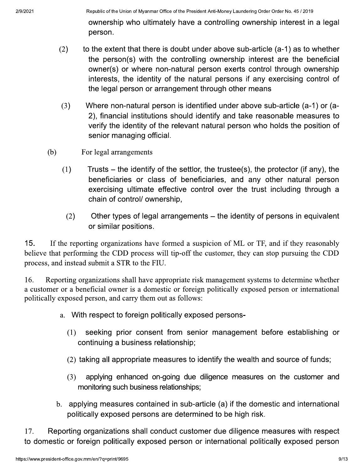ownership who ultimately have a controlling ownership interest in a legal person.

- to the extent that there is doubt under above sub-article (a-1) as to whether  $(2)$ the person(s) with the controlling ownership interest are the beneficial owner(s) or where non-natural person exerts control through ownership interests, the identity of the natural persons if any exercising control of the legal person or arrangement through other means
- $(3)$ Where non-natural person is identified under above sub-article (a-1) or (a-2), financial institutions should identify and take reasonable measures to verify the identity of the relevant natural person who holds the position of senior managing official.
- $(b)$ For legal arrangements
	- $(1)$ Trusts  $-$  the identify of the settlor, the trustee(s), the protector (if any), the beneficiaries or class of beneficiaries, and any other natural person exercising ultimate effective control over the trust including through a chain of control/ ownership,
		- $(2)$ Other types of legal arrangements – the identity of persons in equivalent or similar positions.

 $15.$ If the reporting organizations have formed a suspicion of ML or TF, and if they reasonably believe that performing the CDD process will tip-off the customer, they can stop pursuing the CDD process, and instead submit a STR to the FIU.

16. Reporting organizations shall have appropriate risk management systems to determine whether a customer or a beneficial owner is a domestic or foreign politically exposed person or international politically exposed person, and carry them out as follows:

- a. With respect to foreign politically exposed persons-
	- $(1)$ seeking prior consent from senior management before establishing or continuing a business relationship;
	- (2) taking all appropriate measures to identify the wealth and source of funds:
	- $(3)$ applying enhanced on-going due diligence measures on the customer and monitoring such business relationships;
- b. applying measures contained in sub-article (a) if the domestic and international politically exposed persons are determined to be high risk.

17. Reporting organizations shall conduct customer due diligence measures with respect to domestic or foreign politically exposed person or international politically exposed person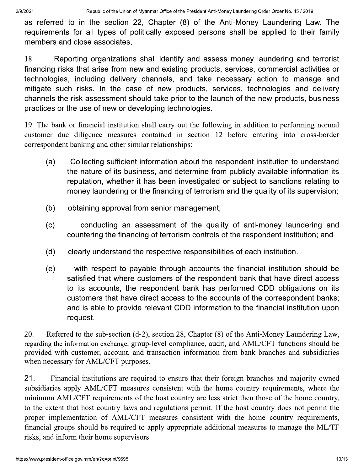as referred to in the section 22, Chapter (8) of the Anti-Money Laundering Law. The requirements for all types of politically exposed persons shall be applied to their family members and close associates.

18. Reporting organizations shall identify and assess money laundering and terrorist financing risks that arise from new and existing products, services, commercial activities or technologies, including delivery channels, and take necessary action to manage and mitigate such risks. In the case of new products, services, technologies and delivery channels the risk assessment should take prior to the launch of the new products, business practices or the use of new or developing technologies.

19. The bank or financial institution shall carry out the following in addition to performing normal customer due diligence measures contained in section 12 before entering into cross-border correspondent banking and other similar relationships:

- Collecting sufficient information about the respondent institution to understand  $(a)$ the nature of its business, and determine from publicly available information its reputation, whether it has been investigated or subject to sanctions relating to money laundering or the financing of terrorism and the quality of its supervision;
- $(b)$ obtaining approval from senior management;
- conducting an assessment of the quality of anti-money laundering and  $(c)$ countering the financing of terrorism controls of the respondent institution; and
- $(d)$ clearly understand the respective responsibilities of each institution.
- $(e)$ with respect to payable through accounts the financial institution should be satisfied that where customers of the respondent bank that have direct access to its accounts, the respondent bank has performed CDD obligations on its customers that have direct access to the accounts of the correspondent banks; and is able to provide relevant CDD information to the financial institution upon request.

20. Referred to the sub-section (d-2), section 28, Chapter (8) of the Anti-Money Laundering Law, regarding the information exchange, group-level compliance, audit, and AML/CFT functions should be provided with customer, account, and transaction information from bank branches and subsidiaries when necessary for AML/CFT purposes.

 $21.$ Financial institutions are required to ensure that their foreign branches and majority-owned subsidiaries apply AML/CFT measures consistent with the home country requirements, where the minimum AML/CFT requirements of the host country are less strict then those of the home country, to the extent that host country laws and regulations permit. If the host country does not permit the proper implementation of AML/CFT measures consistent with the home country requirements, financial groups should be required to apply appropriate additional measures to manage the ML/TF risks, and inform their home supervisors.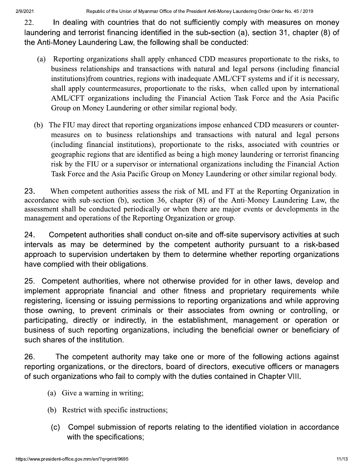22. In dealing with countries that do not sufficiently comply with measures on money laundering and terrorist financing identified in the sub-section (a), section 31, chapter (8) of the Anti-Money Laundering Law, the following shall be conducted:

- Reporting organizations shall apply enhanced CDD measures proportionate to the risks, to (a) business relationships and transactions with natural and legal persons (including financial institutions) from countries, regions with inadequate AML/CFT systems and if it is necessary, shall apply countermeasures, proportionate to the risks, when called upon by international AML/CFT organizations including the Financial Action Task Force and the Asia Pacific Group on Money Laundering or other similar regional body.
- The FIU may direct that reporting organizations impose enhanced CDD measurers or counter- $(b)$ measures on to business relationships and transactions with natural and legal persons (including financial institutions), proportionate to the risks, associated with countries or geographic regions that are identified as being a high money laundering or terrorist financing risk by the FIU or a supervisor or international organizations including the Financial Action Task Force and the Asia Pacific Group on Money Laundering or other similar regional body.

23. When competent authorities assess the risk of ML and FT at the Reporting Organization in accordance with sub-section (b), section 36, chapter (8) of the Anti-Money Laundering Law, the assessment shall be conducted periodically or when there are major events or developments in the management and operations of the Reporting Organization or group.

24. Competent authorities shall conduct on-site and off-site supervisory activities at such intervals as may be determined by the competent authority pursuant to a risk-based approach to supervision undertaken by them to determine whether reporting organizations have complied with their obligations.

 $25.$ Competent authorities, where not otherwise provided for in other laws, develop and implement appropriate financial and other fitness and proprietary requirements while registering, licensing or issuing permissions to reporting organizations and while approving those owning, to prevent criminals or their associates from owning or controlling, or participating, directly or indirectly, in the establishment, management or operation or business of such reporting organizations, including the beneficial owner or beneficiary of such shares of the institution.

26. The competent authority may take one or more of the following actions against reporting organizations, or the directors, board of directors, executive officers or managers of such organizations who fail to comply with the duties contained in Chapter VIII.

- (a) Give a warning in writing;
- (b) Restrict with specific instructions;
- Compel submission of reports relating to the identified violation in accordance  $(c)$ with the specifications;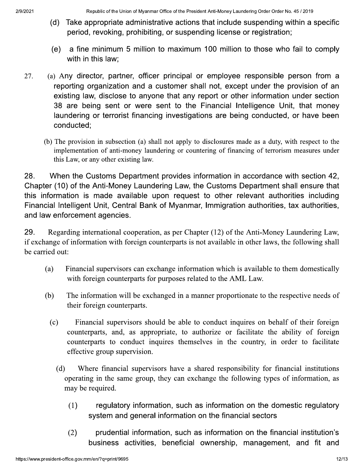- (d) Take appropriate administrative actions that include suspending within a specific period, revoking, prohibiting, or suspending license or registration;
- a fine minimum 5 million to maximum 100 million to those who fail to comply  $(e)$ with in this law;
- (a) Any director, partner, officer principal or employee responsible person from a 27. reporting organization and a customer shall not, except under the provision of an existing law, disclose to anyone that any report or other information under section 38 are being sent or were sent to the Financial Intelligence Unit, that money laundering or terrorist financing investigations are being conducted, or have been conducted;
	- (b) The provision in subsection (a) shall not apply to disclosures made as a duty, with respect to the implementation of anti-money laundering or countering of financing of terrorism measures under this Law, or any other existing law.

When the Customs Department provides information in accordance with section 42, 28. Chapter (10) of the Anti-Money Laundering Law, the Customs Department shall ensure that this information is made available upon request to other relevant authorities including Financial Intelligent Unit, Central Bank of Myanmar, Immigration authorities, tax authorities, and law enforcement agencies.

29. Regarding international cooperation, as per Chapter (12) of the Anti-Money Laundering Law, if exchange of information with foreign counterparts is not available in other laws, the following shall be carried out:

- Financial supervisors can exchange information which is available to them domestically  $(a)$ with foreign counterparts for purposes related to the AML Law.
- The information will be exchanged in a manner proportionate to the respective needs of (b) their foreign counterparts.
	- $(c)$ Financial supervisors should be able to conduct inquires on behalf of their foreign counterparts, and, as appropriate, to authorize or facilitate the ability of foreign counterparts to conduct inquires themselves in the country, in order to facilitate effective group supervision.
		- $(d)$ Where financial supervisors have a shared responsibility for financial institutions operating in the same group, they can exchange the following types of information, as may be required.
			- $(1)$ regulatory information, such as information on the domestic regulatory system and general information on the financial sectors
			- $(2)$ prudential information, such as information on the financial institution's business activities, beneficial ownership, management, and fit and